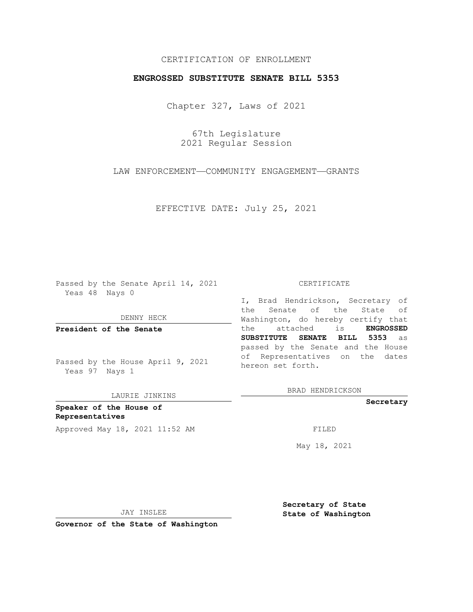# CERTIFICATION OF ENROLLMENT

### **ENGROSSED SUBSTITUTE SENATE BILL 5353**

Chapter 327, Laws of 2021

67th Legislature 2021 Regular Session

LAW ENFORCEMENT—COMMUNITY ENGAGEMENT—GRANTS

EFFECTIVE DATE: July 25, 2021

Passed by the Senate April 14, 2021 Yeas 48 Nays 0

DENNY HECK

**President of the Senate**

Passed by the House April 9, 2021 Yeas 97 Nays 1

LAURIE JINKINS

**Speaker of the House of Representatives** Approved May 18, 2021 11:52 AM FILED

#### CERTIFICATE

I, Brad Hendrickson, Secretary of the Senate of the State of Washington, do hereby certify that the attached is **ENGROSSED SUBSTITUTE SENATE BILL 5353** as passed by the Senate and the House of Representatives on the dates hereon set forth.

BRAD HENDRICKSON

**Secretary**

May 18, 2021

JAY INSLEE

**Secretary of State State of Washington**

**Governor of the State of Washington**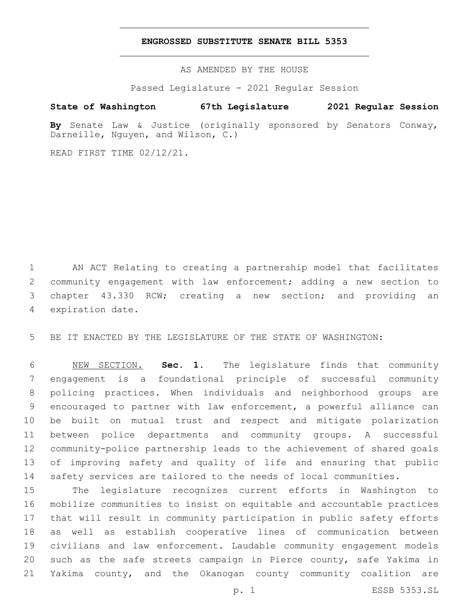#### **ENGROSSED SUBSTITUTE SENATE BILL 5353**

AS AMENDED BY THE HOUSE

Passed Legislature - 2021 Regular Session

# **State of Washington 67th Legislature 2021 Regular Session**

**By** Senate Law & Justice (originally sponsored by Senators Conway, Darneille, Nguyen, and Wilson, C.)

READ FIRST TIME 02/12/21.

 AN ACT Relating to creating a partnership model that facilitates community engagement with law enforcement; adding a new section to chapter 43.330 RCW; creating a new section; and providing an 4 expiration date.

BE IT ENACTED BY THE LEGISLATURE OF THE STATE OF WASHINGTON:

 NEW SECTION. **Sec. 1.** The legislature finds that community engagement is a foundational principle of successful community policing practices. When individuals and neighborhood groups are encouraged to partner with law enforcement, a powerful alliance can be built on mutual trust and respect and mitigate polarization between police departments and community groups. A successful community-police partnership leads to the achievement of shared goals of improving safety and quality of life and ensuring that public safety services are tailored to the needs of local communities.

 The legislature recognizes current efforts in Washington to mobilize communities to insist on equitable and accountable practices that will result in community participation in public safety efforts as well as establish cooperative lines of communication between civilians and law enforcement. Laudable community engagement models such as the safe streets campaign in Pierce county, safe Yakima in Yakima county, and the Okanogan county community coalition are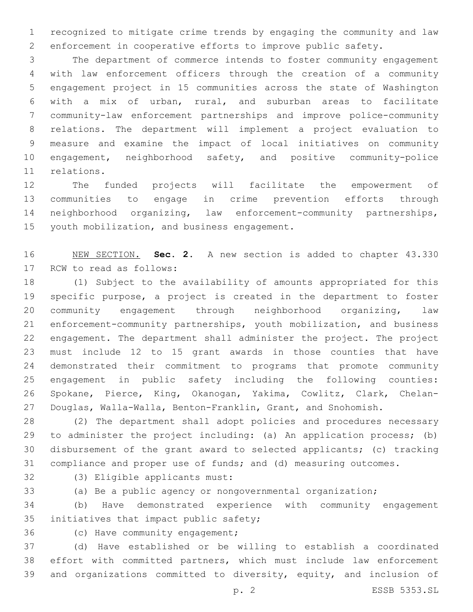recognized to mitigate crime trends by engaging the community and law enforcement in cooperative efforts to improve public safety.

 The department of commerce intends to foster community engagement with law enforcement officers through the creation of a community engagement project in 15 communities across the state of Washington with a mix of urban, rural, and suburban areas to facilitate community-law enforcement partnerships and improve police-community relations. The department will implement a project evaluation to measure and examine the impact of local initiatives on community engagement, neighborhood safety, and positive community-police 11 relations.

 The funded projects will facilitate the empowerment of communities to engage in crime prevention efforts through neighborhood organizing, law enforcement-community partnerships, 15 youth mobilization, and business engagement.

 NEW SECTION. **Sec. 2.** A new section is added to chapter 43.330 17 RCW to read as follows:

 (1) Subject to the availability of amounts appropriated for this specific purpose, a project is created in the department to foster community engagement through neighborhood organizing, law enforcement-community partnerships, youth mobilization, and business engagement. The department shall administer the project. The project must include 12 to 15 grant awards in those counties that have demonstrated their commitment to programs that promote community engagement in public safety including the following counties: Spokane, Pierce, King, Okanogan, Yakima, Cowlitz, Clark, Chelan-Douglas, Walla-Walla, Benton-Franklin, Grant, and Snohomish.

 (2) The department shall adopt policies and procedures necessary to administer the project including: (a) An application process; (b) disbursement of the grant award to selected applicants; (c) tracking compliance and proper use of funds; and (d) measuring outcomes.

32 (3) Eligible applicants must:

(a) Be a public agency or nongovernmental organization;

 (b) Have demonstrated experience with community engagement 35 initiatives that impact public safety;

36 (c) Have community engagement;

 (d) Have established or be willing to establish a coordinated effort with committed partners, which must include law enforcement and organizations committed to diversity, equity, and inclusion of

p. 2 ESSB 5353.SL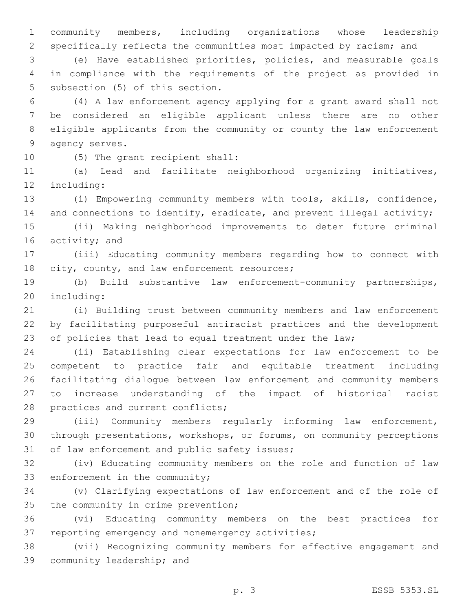1 community members, including organizations whose leadership 2 specifically reflects the communities most impacted by racism; and

3 (e) Have established priorities, policies, and measurable goals 4 in compliance with the requirements of the project as provided in 5 subsection (5) of this section.

 (4) A law enforcement agency applying for a grant award shall not be considered an eligible applicant unless there are no other eligible applicants from the community or county the law enforcement 9 agency serves.

10 (5) The grant recipient shall:

11 (a) Lead and facilitate neighborhood organizing initiatives, 12 including:

13 (i) Empowering community members with tools, skills, confidence, 14 and connections to identify, eradicate, and prevent illegal activity;

15 (ii) Making neighborhood improvements to deter future criminal 16 activity; and

17 (iii) Educating community members regarding how to connect with 18 city, county, and law enforcement resources;

19 (b) Build substantive law enforcement-community partnerships, 20 including:

21 (i) Building trust between community members and law enforcement 22 by facilitating purposeful antiracist practices and the development 23 of policies that lead to equal treatment under the law;

 (ii) Establishing clear expectations for law enforcement to be competent to practice fair and equitable treatment including facilitating dialogue between law enforcement and community members to increase understanding of the impact of historical racist 28 practices and current conflicts;

29 (iii) Community members regularly informing law enforcement, 30 through presentations, workshops, or forums, on community perceptions 31 of law enforcement and public safety issues;

32 (iv) Educating community members on the role and function of law 33 enforcement in the community;

34 (v) Clarifying expectations of law enforcement and of the role of 35 the community in crime prevention;

36 (vi) Educating community members on the best practices for 37 reporting emergency and nonemergency activities;

38 (vii) Recognizing community members for effective engagement and 39 community leadership; and